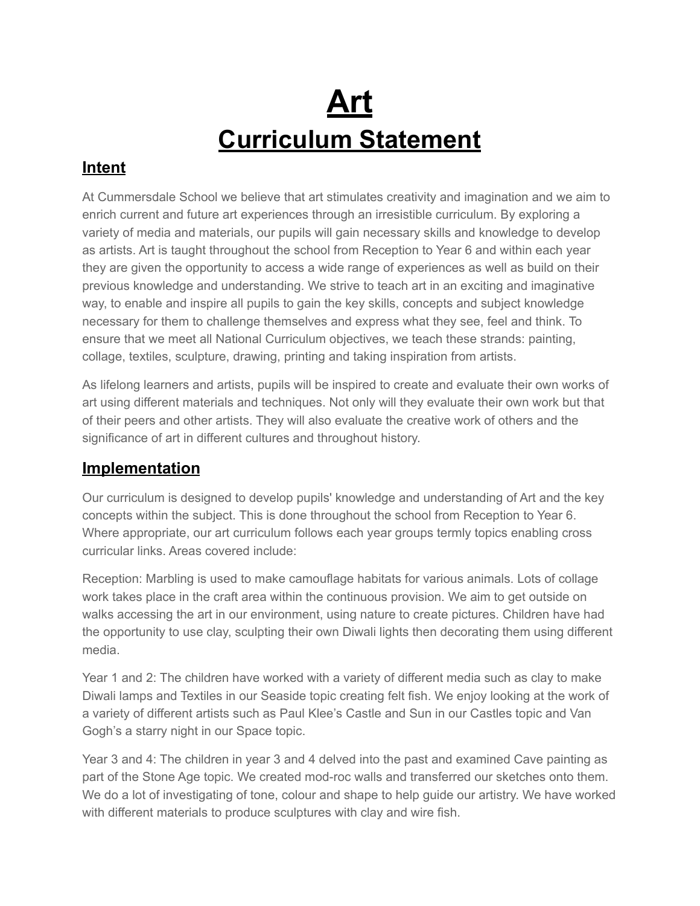# **Art Curriculum Statement**

### **Intent**

At Cummersdale School we believe that art stimulates creativity and imagination and we aim to enrich current and future art experiences through an irresistible curriculum. By exploring a variety of media and materials, our pupils will gain necessary skills and knowledge to develop as artists. Art is taught throughout the school from Reception to Year 6 and within each year they are given the opportunity to access a wide range of experiences as well as build on their previous knowledge and understanding. We strive to teach art in an exciting and imaginative way, to enable and inspire all pupils to gain the key skills, concepts and subject knowledge necessary for them to challenge themselves and express what they see, feel and think. To ensure that we meet all National Curriculum objectives, we teach these strands: painting, collage, textiles, sculpture, drawing, printing and taking inspiration from artists.

As lifelong learners and artists, pupils will be inspired to create and evaluate their own works of art using different materials and techniques. Not only will they evaluate their own work but that of their peers and other artists. They will also evaluate the creative work of others and the significance of art in different cultures and throughout history.

#### **Implementation**

Our curriculum is designed to develop pupils' knowledge and understanding of Art and the key concepts within the subject. This is done throughout the school from Reception to Year 6. Where appropriate, our art curriculum follows each year groups termly topics enabling cross curricular links. Areas covered include:

Reception: Marbling is used to make camouflage habitats for various animals. Lots of collage work takes place in the craft area within the continuous provision. We aim to get outside on walks accessing the art in our environment, using nature to create pictures. Children have had the opportunity to use clay, sculpting their own Diwali lights then decorating them using different media.

Year 1 and 2: The children have worked with a variety of different media such as clay to make Diwali lamps and Textiles in our Seaside topic creating felt fish. We enjoy looking at the work of a variety of different artists such as Paul Klee's Castle and Sun in our Castles topic and Van Gogh's a starry night in our Space topic.

Year 3 and 4: The children in year 3 and 4 delved into the past and examined Cave painting as part of the Stone Age topic. We created mod-roc walls and transferred our sketches onto them. We do a lot of investigating of tone, colour and shape to help guide our artistry. We have worked with different materials to produce sculptures with clay and wire fish.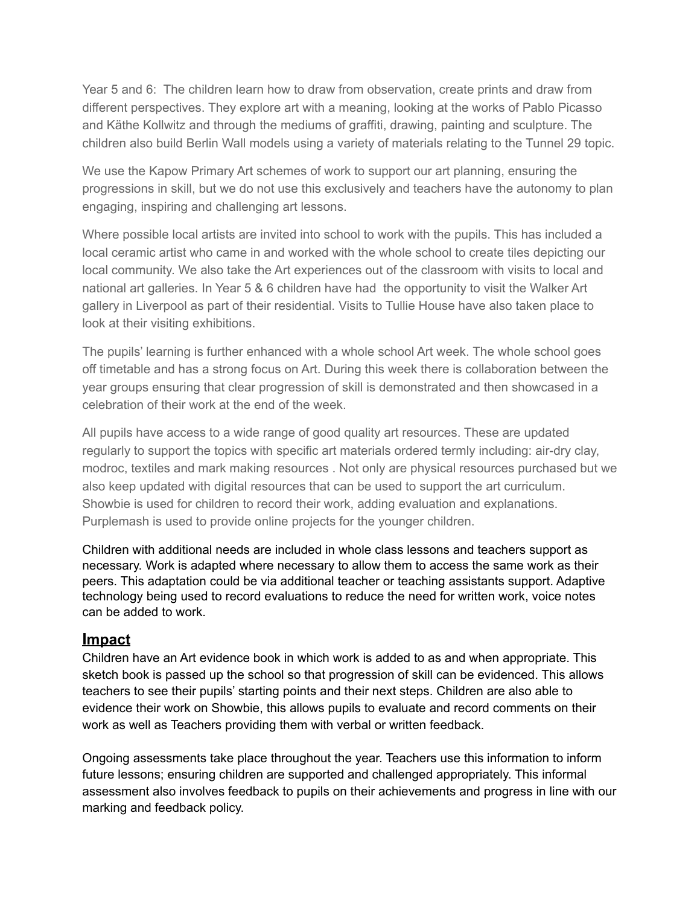Year 5 and 6: The children learn how to draw from observation, create prints and draw from different perspectives. They explore art with a meaning, looking at the works of Pablo Picasso and Käthe Kollwitz and through the mediums of graffiti, drawing, painting and sculpture. The children also build Berlin Wall models using a variety of materials relating to the Tunnel 29 topic.

We use the Kapow Primary Art schemes of work to support our art planning, ensuring the progressions in skill, but we do not use this exclusively and teachers have the autonomy to plan engaging, inspiring and challenging art lessons.

Where possible local artists are invited into school to work with the pupils. This has included a local ceramic artist who came in and worked with the whole school to create tiles depicting our local community. We also take the Art experiences out of the classroom with visits to local and national art galleries. In Year 5 & 6 children have had the opportunity to visit the Walker Art gallery in Liverpool as part of their residential. Visits to Tullie House have also taken place to look at their visiting exhibitions.

The pupils' learning is further enhanced with a whole school Art week. The whole school goes off timetable and has a strong focus on Art. During this week there is collaboration between the year groups ensuring that clear progression of skill is demonstrated and then showcased in a celebration of their work at the end of the week.

All pupils have access to a wide range of good quality art resources. These are updated regularly to support the topics with specific art materials ordered termly including: air-dry clay, modroc, textiles and mark making resources . Not only are physical resources purchased but we also keep updated with digital resources that can be used to support the art curriculum. Showbie is used for children to record their work, adding evaluation and explanations. Purplemash is used to provide online projects for the younger children.

Children with additional needs are included in whole class lessons and teachers support as necessary. Work is adapted where necessary to allow them to access the same work as their peers. This adaptation could be via additional teacher or teaching assistants support. Adaptive technology being used to record evaluations to reduce the need for written work, voice notes can be added to work.

#### **Impact**

Children have an Art evidence book in which work is added to as and when appropriate. This sketch book is passed up the school so that progression of skill can be evidenced. This allows teachers to see their pupils' starting points and their next steps. Children are also able to evidence their work on Showbie, this allows pupils to evaluate and record comments on their work as well as Teachers providing them with verbal or written feedback.

Ongoing assessments take place throughout the year. Teachers use this information to inform future lessons; ensuring children are supported and challenged appropriately. This informal assessment also involves feedback to pupils on their achievements and progress in line with our marking and feedback policy.